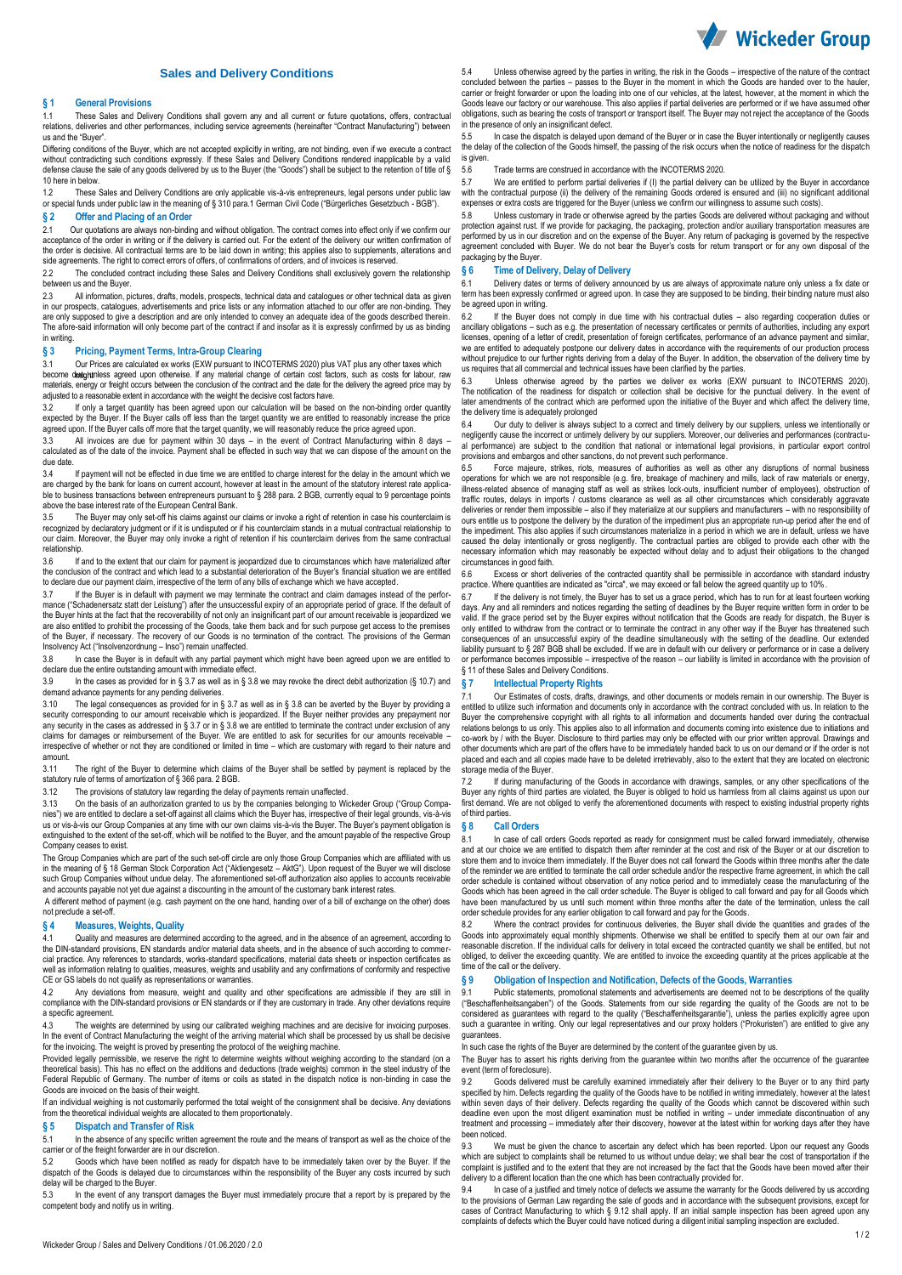

### **Sales and Delivery Conditions**

#### **§ 1 General Provisions**

1.1 These Sales and Delivery Conditions shall govern any and all current or future quotations, offers, contractual relations, deliveries and other performances, including service agreements (hereinafter "Contract Manufacturing") between us and the "Buyer".

Differing conditions of the Buyer, which are not accepted explicitly in writing, are not binding, even if we execute a contract without contradicting such conditions expressly. If these Sales and Delivery Conditions rendered inapplicable by a valid<br>defense clause the sale of any goods delivered by us to the Buyer (the "Goods") shall be subject to t 10 here in below.

1.2 These Sales and Delivery Conditions are only applicable vis-à-vis entrepreneurs, legal persons under public law or special funds under public law in the meaning of § 310 para.1 German Civil Code ("Bürgerliches Gesetzbuch - BGB").

# **§ 2 Offer and Placing of an Order** 2.1 Our quotations are always non-binding

2.1 Our quotations are always non-binding and without obligation. The contract comes into effect only if we confirm our acceptance of the order in writing or if the delivery is carried out. For the extent of the delivery our written confirmation of<br>the order is decisive. All contractual terms are to be laid down in writing; this applies als side agreements. The right to correct errors of offers, of confirmations of orders, and of invoices is reserved.

2.2 The concluded contract including these Sales and Delivery Conditions shall exclusively govern the relationship between us and the Buyer.

2.3 All information, pictures, drafts, models, prospects, technical data and catalogues or other technical data as giver in our prospects, catalogues, advertisements and price lists or any information attached to our offer are non-binding. They are only supposed to give a description and are only intended to convey an adequate idea of the goods described therein.<br>The afore-said information will only become part of the contract if and insofar as it is expressly co in writing.

#### **§ 3 Pricing, Payment Terms, Intra-Group Clearing**

3.1 Our Prices are calculated ex works (EXW pursuant to INCOTERMS 2020) plus VAT plus any other taxes which become durintess are calculated ex works (EXTY pursuant to induct EXTY) from the strip as any other taxes which materials, energy or freight occurs between the conclusion of the contract and the date for the delivery the agreed price may by adjusted to a reasonable extent in accordance with the weight the decisive cost factors have.

3.2 If only a target quantity has been agreed upon our calculation will be based on the non-binding order quantity expected by the Buyer. If the Buyer calls off less than the target quantity we are entitled to reasonably increase the price<br>agreed upon. If the Buyer calls off more that the target quantity, we will reasonably reduce the

3.3 All invoices are due for payment within 30 days – in the event of Contract Manufacturing within 8 days –<br>calculated as of the date of the invoice. Payment shall be effected in such way that we can dispose of the amount due date.

3.4 If payment will not be effected in due time we are entitled to charge interest for the delay in the amount which we are charged by the bank for loans on current account, however at least in the amount of the statutory interest rate applicable to business transactions between entrepreneurs pursuant to § 288 para. 2 BGB, currently equal to 9 percentage points above the base interest rate of the European Central Bank.

3.5 The Buyer may only set-off his claims against our claims or invoke a right of retention in case his counterclaim is recognized by declaratory judgment or if it is undisputed or if his counterclaim stands in a mutual contractual relationship to our claim. Moreover, the Buyer may only invoke a right of retention if his counterclaim derives from the same contractual relationship.<br>3.6 If

If and to the extent that our claim for payment is jeopardized due to circumstances which have materialized after the conclusion of the contract and which lead to a substantial deterioration of the Buyer's financial situation we are entitled<br>to declare due our payment claim, irrespective of the term of any bills of exchange which we h

3.7 If the Buyer is in default with payment we may terminate the contract and claim damages instead of the performance ("Schadenersatz statt der Leistung") after the unsuccessful expiry of an appropriate period of grace. If the default of<br>the Buyer hints at the fact that the recoverability of not only an insignificant part of our amo of the Buyer, if necessary. The recovery of our Goods is no termination of the contract. The provisions of the German<br>Insolvency Act ("Insolvenzordnung – Inso") remain unaffected.

3.8 In case the Buyer is in default with any partial payment which might have been agreed upon we are entitled to declare due the entire outstanding amount with immediate effect.

3.9 In the cases as provided for in § 3.7 as well as in § 3.8 we may revoke the direct debit authorization (§ 10.7) and demand advance payments for any pending deliveries.

3.10 The legal consequences as provided for in § 3.7 as well as in § 3.8 can be averted by the Buyer by providing a security corresponding to our amount receivable which is jeopardized. If the Buyer neither provides any prepayment nor<br>any security in the cases as addressed in § 3.7 or in § 3.8 we are entitled to terminate the contract u irrespective of whether or not they are conditioned or limited in time – which are customary with regard to their nature and amount.

3.11 The right of the Buyer to determine which claims of the Buyer shall be settled by payment is replaced by the statutory rule of terms of amortization of § 366 para. 2 BGB.<br>3.12 The provisions of statutory law regarding the delay

The provisions of statutory law regarding the delay of payments remain unaffected.

3.13 On the basis of an authorization granted to us by the companies belonging to Wickeder Group ("Group Companies") we are entitled to declare a set-off against all claims which the Buyer has, irrespective of their legal grounds, vis-à-vis us or vis-à-vis our Group Companies at any time with our own claims vis-à-vis the Buyer. The Buyer's payment obligation is extinguished to the extent of the set-off, which will be notified to the Buyer, and the amount payable of the respective Group Company ceases to exist.

The Group Companies which are part of the such set-off circle are only those Group Companies which are affiliated with us in the meaning of § 18 German Stock Corporation Act ("Aktiengesetz – AktG"). Upon request of the Buyer we will disclose<br>such Group Companies without undue delay. The aforementioned set-off authorization also applies to acc

 A different method of payment (e.g. cash payment on the one hand, handing over of a bill of exchange on the other) does not preclude a set-off.

#### **§ 4 Measures, Weights, Quality**

4.1 Quality and measures are determined according to the agreed, and in the absence of an agreement, according to the DIN-standard provisions, EN standards and/or material data sheets, and in the absence of such according to commer-<br>cial practice. Any references to standards, works standard specifications, material data sheets or insp cial practice. Any references to standards, works-standard specifications, material data sheets or inspection c well as information relating to qualities, measures, weights and usability and any confirmations of conformity and respective well as information relating to qualities, measures, weights and usability and any confirmations CE or GS labels do not qualify as representations or warranties.

4.2 Any deviations from measure, weight and quality and other specifications are admissible if they are still in<br>compliance with the DIN-standard provisions or EN standards or if they are customary in trade. Any other devi a specific agreement.

4.3 The weights are determined by using our calibrated weighing machines and are decisive for invoicing purposes.<br>In the event of Contract Manufacturing the weight of the arriving material which shall be processed by us sh for the invoicing. The weight is proved by presenting the protocol of the weighing machine.

Provided legally permissible, we reserve the right to determine weights without weighing according to the standard (on a theoretical basis). This has no effect on the additions and deductions (trade weights) common in the steel industry of the<br>Federal Republic of Germany. The number of items or coils as stated in the dispatch notice is non-b Goods are invoiced on the basis of their weight.

If an individual weighing is not customarily performed the total weight of the consignment shall be decisive. Any deviations from the theoretical individual weights are allocated to them proportionately.

## **§ 5 Dispatch and Transfer of Risk**<br>5.1 In the absence of any specific writter

In the absence of any specific written agreement the route and the means of transport as well as the choice of the carrier or of the freight forwarder are in our discretion.

5.2 Goods which have been notified as ready for dispatch have to be immediately taken over by the Buyer. If the dispatch of the Goods is delayed due to circumstances within the responsibility of the Buyer any costs incurred by such dispatch of the Goods is delayed due to circumstances within the responsibility of the Buyer any costs delay will be charged to the Buyer.

5.3 In the event of any transport damages the Buyer must immediately procure that a report by is prepared by the competent body and notify us in writing.

5.4 Unless otherwise agreed by the parties in writing, the risk in the Goods – irrespective of the nature of the contract concluded between the parties – passes to the Buyer in the moment in which the Goods are handed over to the hauler,<br>carrier or freight forwarder or upon the loading into one of our vehicles, at the latest, however, at the Goods leave our factory or our warehouse. This also applies if partial deliveries are performed or if we have assumed other obligations, such as bearing the costs of transport or transport itself. The Buyer may not reject the acceptance of the Goods in the presence of only an insignificant defect.

5.5 In case the dispatch is delayed upon demand of the Buyer or in case the Buyer intentionally or negligently causes the delay of the collection of the Goods himself, the passing of the risk occurs when the notice of readiness for the dispatch is given.

5.6 Trade terms are construed in accordance with the INCOTERMS 2020.

5.7 We are entitled to perform partial deliveries if (I) the partial delivery can be utilized by the Buyer in accordance<br>with the contractual purpose (ii) the delivery of the remaining Goods ordered is ensured and (iii) no expenses or extra costs are triggered for the Buyer (unless we confirm our willingness to assume such costs).

5.8 Unless customary in trade or otherwise agreed by the parties Goods are delivered without packaging and without<br>protection against rust. If we provide for packaging, the packaging, protection and/or auxiliary transporta performed by us in our discretion and on the expense of the Buyer. Any return of packaging is governed by the respective<br>agreement concluded with Buyer. We do not bear the Buyer's costs for return transport or for any own packaging by the Buyer.

#### **§ 6 Time of Delivery, Delay of Delivery**

6.1 Delivery dates or terms of delivery announced by us are always of approximate nature only unless a fix date or term has been expressly confirmed or agreed upon. In case they are supposed to be binding, their binding nature must also be agreed upon in writing.

6.2 If the Buyer does not comply in due time with his contractual duties – also regarding cooperation duties or<br>ancillary obligations – such as e.g. the presentation of necessary certificates or permits of authorities, inc licenses, opening of a letter of credit, presentation of foreign certificates, performance of an advance payment and similar<br>We are entitled to adequately postpone our delivery dates in accordance with the requirements of we are entitled to adequately postpone our delivery dates in accordance with the requirements of our production process<br>without prejudice to our further rights deriving from a delay of the Buyer. In addition, the observati us requires that all commercial and technical issues have been clarified by the parties.

6.3 Unless otherwise agreed by the parties we deliver ex works (EXW pursuant to INCOTERMS 2020). The notification of the readiness for dispatch or collection shall be decisive for the punctual delivery. In the event of later amendments of the contract which are performed upon the initiative of the Buyer and which affect the delivery time the delivery time is adequately prolonged

6.4 Our duty to deliver is always subject to a correct and timely delivery by our suppliers, unless we intentionally or negligently cause the incorrect or untimely delivery by our suppliers. Moreover, our deliveries and performances (contractu-<br>al performance) are subject to the condition that national or international legal provisions, in provisions and embargos and other sanctions, do not prevent such performance.

6.5 Force majeure, strikes, riots, measures of authorities as well as other any disruptions of normal business operations for which we are not responsible (e.g. fire, breakage of machinery and mills, lack of raw materials or energy,<br>illness-related absence of managing staff as well as strikes lock-outs, insufficient number of emplo traffic routes, delays in imports / customs clearance as well as all other circumstances which considerably aggravate deliveries or render them impossible – also if they materialize at our suppliers and manufacturers – with no responsibility of ours entitle us to postpone the delivery by the duration of the impediment plus an appropriate run-up period after the end of the impediment. This also applies if such circumstances materialize in a period in which we are in default, unless we have caused the delay intentionally or gross negligently. The contractual parties are obliged to provide each other with the necessary information which may reasonably be expected without delay and to adjust their obligations to the changed circumstances in good faith.

6.6 Excess or short deliveries of the contracted quantity shall be permissible in accordance with standard industry practice. Where quantities are indicated as "circa", we may exceed or fall below the agreed quantity up to 10%.

6.7 If the delivery is not timely, the Buyer has to set us a grace period, which has to run for at least fourteen working<br>days. Any and all reminders and notices regarding the setting of deadlines by the Buyer require writ valid. If the grace period set by the Buyer expires without notification that the Goods are ready for dispatch, the Buyer is<br>only entitled to withdraw from the contract or to terminate the contract in any other way if the to withdraw from the contract or to terminate the contract in any other way if the Buyer has threatened such consequences of an unsuccessful expiry of the deadline simultaneously with the setting of the deadline. Our extended liability pursuant to § 287 BGB shall be excluded. If we are in default with our delivery or performance or in case a delivery<br>or performance becomes impossible – irrespective of the reason – our liability is limited in ac § 11 of these Sales and Delivery Conditions.

#### **§ 7 Intellectual Property Rights**

Our Estimates of costs, drafts, drawings, and other documents or models remain in our ownership. The Buyer is entitled to utilize such information and documents only in accordance with the contract concluded with us. In relation to the<br>Buyer the comprehensive copyright with all rights to all information and documents handed over d relations belongs to us only. This applies also to all information and documents coming into existence due to initiations and co-work by / with the Buyer. Disclosure to third parties may only be effected with our prior written approval. Drawings and<br>other documents which are part of the offers have to be immediately handed back to us on our deman placed and each and all copies made have to be deleted irretrievably, also to the extent that they are located on electronic storage media of the Buyer.

7.2 If during manufacturing of the Goods in accordance with drawings, samples, or any other specifications of the Buyer any rights of third parties are violated, the Buyer is obliged to hold us harmless from all claims against us upon our<br>first demand. We are not obliged to verify the aforementioned documents with respect to existing of third parties.

#### **§ 8 Call Orders**

8.1 In case of call orders Goods reported as ready for consignment must be called forward immediately, otherwise<br>and at our choice we are entitled to dispatch them after reminder at the cost and risk of the Buyer or at our store them and to invoice them immediately. If the Buyer does not call forward the Goods within three months after the date of the reminder we are entitled to terminate the call order schedule and/or the respective frame agreement, in which the call order schedule is contained without observation of any notice period and to immediately cease the manufacturing of the Goods which has been agreed in the call order schedule. The Buyer is obliged to call forward and pay for all Goods which<br>have been manufactured by us until such moment within three months after the date of the termination, order schedule provides for any earlier obligation to call forward and pay for the Goods.

8.2 Where the contract provides for continuous deliveries, the Buyer shall divide the quantities and grades of the Goods into approximately equal monthly shipments. Otherwise we shall be entitled to specify them at our own fair and reasonable discretion. If the individual calls for delivery in total exceed the contracted quantity we shall be entitled, but not<br>obliged, to deliver the exceeding quantity. We are entitled to invoice the exceeding quantit time of the call or the delivery.

#### **§ 9 Obligation of Inspection and Notification, Defects of the Goods, Warranties**

9.1 Public statements, promotional statements and advertisements are deemed not to be descriptions of the quality ("Beschaffenheitsangaben") of the Goods. Statements from our side regarding the quality of the Goods are not to be considered as guarantees with regard to the quality ("Beschaffenheitsgarantie"), unless the parties explicitly agree upon<br>such a guarantee in writing. Only our legal representatives and our proxy holders ("Prokuristen") ar guarantees.

In such case the rights of the Buyer are determined by the content of the guarantee given by us.

The Buyer has to assert his rights deriving from the guarantee within two months after the occurrence of the guarantee event (term of foreclosure).

9.2 Goods delivered must be carefully examined immediately after their delivery to the Buyer or to any third party<br>specified by him. Defects regarding the quality of the Goods have to be notified in writing immediately, ho within seven days of their delivery. Defects regarding the quality of the Goods which cannot be discovered within such<br>deadline even upon the most diligent examination must be notified in writing – under immediate disconti treatment and processing – immediately after their discovery, however at the latest within for working days after they have been noticed

9.3 We must be given the chance to ascertain any defect which has been reported. Upon our request any Goods which are subject to complaints shall be returned to us without undue delay; we shall bear the cost of transportation if the complaint is justified and to the extent that they are not increased by the fact that the Goods have been moved after their<br>delivery to a different location than the one which has been contractually provided for.

9.4 In case of a justified and timely notice of defects we assume the warranty for the Goods delivered by us according to the provisions of German Law regarding the sale of goods and in accordance with the subsequent provisions, except for cases of Contract Manufacturing to which § 9.12 shall apply. If an initial sample inspection has been agreed upon any complaints of defects which the Buyer could have noticed during a diligent initial sampling inspection are excluded.